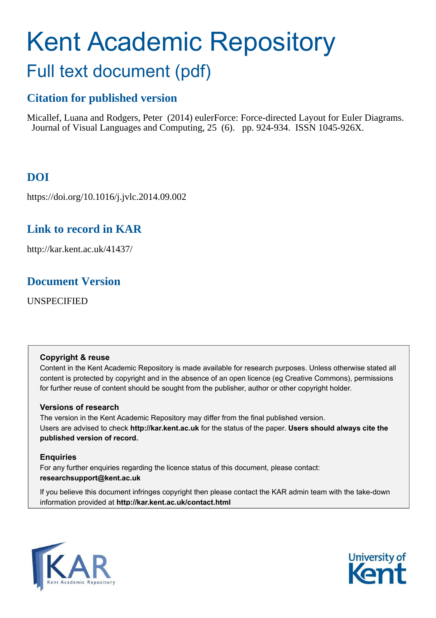# Kent Academic Repository

## Full text document (pdf)

## **Citation for published version**

Micallef, Luana and Rodgers, Peter (2014) eulerForce: Force-directed Layout for Euler Diagrams. Journal of Visual Languages and Computing, 25 (6). pp. 924-934. ISSN 1045-926X.

## **DOI**

https://doi.org/10.1016/j.jvlc.2014.09.002

## **Link to record in KAR**

http://kar.kent.ac.uk/41437/

### **Document Version**

UNSPECIFIED

#### **Copyright & reuse**

Content in the Kent Academic Repository is made available for research purposes. Unless otherwise stated all content is protected by copyright and in the absence of an open licence (eg Creative Commons), permissions for further reuse of content should be sought from the publisher, author or other copyright holder.

#### **Versions of research**

The version in the Kent Academic Repository may differ from the final published version. Users are advised to check **http://kar.kent.ac.uk** for the status of the paper. **Users should always cite the published version of record.**

#### **Enquiries**

For any further enquiries regarding the licence status of this document, please contact: **researchsupport@kent.ac.uk**

If you believe this document infringes copyright then please contact the KAR admin team with the take-down information provided at **http://kar.kent.ac.uk/contact.html**



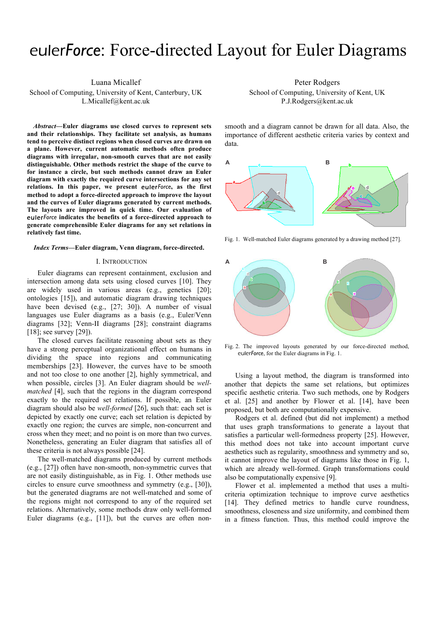## euler*Force*: Force-directed Layout for Euler Diagrams

Luana Micallef

School of Computing, University of Kent, Canterbury, UK L.Micallef@kent.ac.uk

*Abstract***—Euler diagrams use closed curves to represent sets and their relationships. They facilitate set analysis, as humans tend to perceive distinct regions when closed curves are drawn on a plane. However, current automatic methods often produce diagrams with irregular, non-smooth curves that are not easily distinguishable. Other methods restrict the shape of the curve to for instance a circle, but such methods cannot draw an Euler diagram with exactly the required curve intersections for any set**  relations. In this paper, we present eulerForce, as the first **method to adopt a force-directed approach to improve the layout and the curves of Euler diagrams generated by current methods. The layouts are improved in quick time. Our evaluation of**  *Force* **indicates the benefits of a force-directed approach to generate comprehensible Euler diagrams for any set relations in relatively fast time.** 

#### *Index Terms***—Euler diagram, Venn diagram, force-directed.**

#### I. INTRODUCTION

Euler diagrams can represent containment, exclusion and intersection among data sets using closed curves [10]. They are widely used in various areas (e.g., genetics [20]; ontologies [15]), and automatic diagram drawing techniques have been devised (e.g., [27; 30]). A number of visual languages use Euler diagrams as a basis (e.g., Euler/Venn diagrams [32]; Venn-II diagrams [28]; constraint diagrams [18]; see survey [29]).

The closed curves facilitate reasoning about sets as they have a strong perceptual organizational effect on humans in dividing the space into regions and communicating memberships [23]. However, the curves have to be smooth and not too close to one another [2], highly symmetrical, and when possible, circles [3]. An Euler diagram should be *wellmatched* [4], such that the regions in the diagram correspond exactly to the required set relations. If possible, an Euler diagram should also be *well-formed* [26], such that: each set is depicted by exactly one curve; each set relation is depicted by exactly one region; the curves are simple, non-concurrent and cross when they meet; and no point is on more than two curves. Nonetheless, generating an Euler diagram that satisfies all of these criteria is not always possible [24].

The well-matched diagrams produced by current methods (e.g., [27]) often have non-smooth, non-symmetric curves that are not easily distinguishable, as in Fig. 1. Other methods use circles to ensure curve smoothness and symmetry (e.g., [30]), but the generated diagrams are not well-matched and some of the regions might not correspond to any of the required set relations. Alternatively, some methods draw only well-formed Euler diagrams (e.g., [11]), but the curves are often nonPeter Rodgers

School of Computing, University of Kent, UK P.J.Rodgers@kent.ac.uk

smooth and a diagram cannot be drawn for all data. Also, the importance of different aesthetic criteria varies by context and data.



Fig. 1. Well-matched Euler diagrams generated by a drawing method [27].



Fig. 2. The improved layouts generated by our force-directed method, euler*Force*, for the Euler diagrams in Fig. 1.

Using a layout method, the diagram is transformed into another that depicts the same set relations, but optimizes specific aesthetic criteria. Two such methods, one by Rodgers et al. [25] and another by Flower et al. [14], have been proposed, but both are computationally expensive.

Rodgers et al. defined (but did not implement) a method that uses graph transformations to generate a layout that satisfies a particular well-formedness property [25]. However, this method does not take into account important curve aesthetics such as regularity, smoothness and symmetry and so, it cannot improve the layout of diagrams like those in Fig. 1, which are already well-formed. Graph transformations could also be computationally expensive [9].

Flower et al. implemented a method that uses a multicriteria optimization technique to improve curve aesthetics [14]. They defined metrics to handle curve roundness, smoothness, closeness and size uniformity, and combined them in a fitness function. Thus, this method could improve the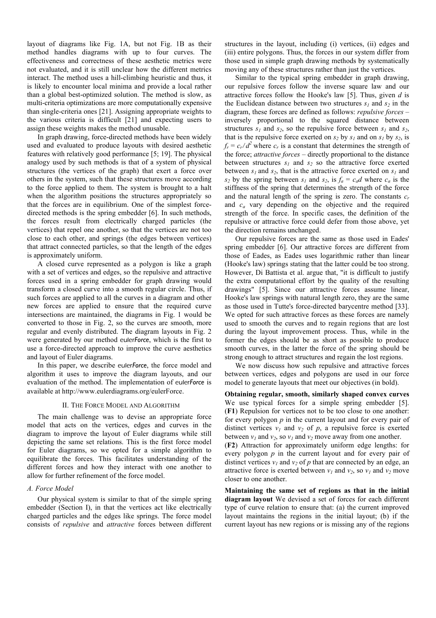layout of diagrams like Fig. 1A, but not Fig. 1B as their method handles diagrams with up to four curves. The effectiveness and correctness of these aesthetic metrics were not evaluated, and it is still unclear how the different metrics interact. The method uses a hill-climbing heuristic and thus, it is likely to encounter local minima and provide a local rather than a global best-optimized solution. The method is slow, as multi-criteria optimizations are more computationally expensive than single-criteria ones [21]. Assigning appropriate weights to the various criteria is difficult [21] and expecting users to assign these weights makes the method unusable.

In graph drawing, force-directed methods have been widely used and evaluated to produce layouts with desired aesthetic features with relatively good performance [5; 19]. The physical analogy used by such methods is that of a system of physical structures (the vertices of the graph) that exert a force over others in the system, such that these structures move according to the force applied to them. The system is brought to a halt when the algorithm positions the structures appropriately so that the forces are in equilibrium. One of the simplest forcedirected methods is the spring embedder [6]. In such methods, the forces result from electrically charged particles (the vertices) that repel one another, so that the vertices are not too close to each other, and springs (the edges between vertices) that attract connected particles, so that the length of the edges is approximately uniform.

A closed curve represented as a polygon is like a graph with a set of vertices and edges, so the repulsive and attractive forces used in a spring embedder for graph drawing would transform a closed curve into a smooth regular circle. Thus, if such forces are applied to all the curves in a diagram and other new forces are applied to ensure that the required curve intersections are maintained, the diagrams in Fig. 1 would be converted to those in Fig. 2, so the curves are smooth, more regular and evenly distributed. The diagram layouts in Fig. 2 were generated by our method euler*Force*, which is the first to use a force-directed approach to improve the curve aesthetics and layout of Euler diagrams.

In this paper, we describe euler*Force*, the force model and algorithm it uses to improve the diagram layouts, and our evaluation of the method. The implementation of euler*Force* is available at http://www.eulerdiagrams.org/eulerForce.

#### II. THE FORCE MODEL AND ALGORITHM

The main challenge was to devise an appropriate force model that acts on the vertices, edges and curves in the diagram to improve the layout of Euler diagrams while still depicting the same set relations. This is the first force model for Euler diagrams, so we opted for a simple algorithm to equilibrate the forces. This facilitates understanding of the different forces and how they interact with one another to allow for further refinement of the force model.

#### *A. Force Model*

Our physical system is similar to that of the simple spring embedder (Section I), in that the vertices act like electrically charged particles and the edges like springs. The force model consists of *repulsive* and *attractive* forces between different

structures in the layout, including (i) vertices, (ii) edges and (iii) entire polygons. Thus, the forces in our system differ from those used in simple graph drawing methods by systematically moving any of these structures rather than just the vertices.

Similar to the typical spring embedder in graph drawing, our repulsive forces follow the inverse square law and our attractive forces follow the Hooke's law [5]. Thus, given *d* is the Euclidean distance between two structures  $s<sub>l</sub>$  and  $s<sub>2</sub>$  in the diagram, these forces are defined as follows: *repulsive forces* – inversely proportional to the squared distance between structures  $s_1$  and  $s_2$ , so the repulsive force between  $s_1$  and  $s_2$ , that is the repulsive force exerted on  $s_2$  by  $s_1$  and on  $s_1$  by  $s_2$ , is  $f_r = c_r/d^2$  where  $c_r$  is a constant that determines the strength of the force; *attractive forces* – directly proportional to the distance between structures  $s<sub>l</sub>$  and  $s<sub>2</sub>$  so the attractive force exerted between  $s<sub>l</sub>$  and  $s<sub>2</sub>$ , that is the attractive force exerted on  $s<sub>l</sub>$  and *s*<sub>2</sub> by the spring between  $s<sub>l</sub>$  and  $s<sub>2</sub>$ , is  $f<sub>a</sub> = c<sub>a</sub>d$  where  $c<sub>a</sub>$  is the stiffness of the spring that determines the strength of the force and the natural length of the spring is zero. The constants *c<sup>r</sup>* and *c<sup>a</sup>* vary depending on the objective and the required strength of the force. In specific cases, the definition of the repulsive or attractive force could defer from those above, yet the direction remains unchanged.

Our repulsive forces are the same as those used in Eades' spring embedder [6]. Our attractive forces are different from those of Eades, as Eades uses logarithmic rather than linear (Hooke's law) springs stating that the latter could be too strong. However, Di Battista et al. argue that, "it is difficult to justify the extra computational effort by the quality of the resulting drawings" [5]. Since our attractive forces assume linear, Hooke's law springs with natural length zero, they are the same as those used in Tutte's force-directed barycentre method [33]. We opted for such attractive forces as these forces are namely used to smooth the curves and to regain regions that are lost during the layout improvement process. Thus, while in the former the edges should be as short as possible to produce smooth curves, in the latter the force of the spring should be strong enough to attract structures and regain the lost regions.

We now discuss how such repulsive and attractive forces between vertices, edges and polygons are used in our force model to generate layouts that meet our objectives (in bold).

**Obtaining regular, smooth, similarly shaped convex curves** We use typical forces for a simple spring embedder [5]. (**F1**) Repulsion for vertices not to be too close to one another: for every polygon *p* in the current layout and for every pair of distinct vertices  $v_1$  and  $v_2$  of  $p$ , a repulsive force is exerted between  $v_1$  and  $v_2$ , so  $v_1$  and  $v_2$  move away from one another. (**F2**) Attraction for approximately uniform edge lengths: for every polygon *p* in the current layout and for every pair of distinct vertices  $v_1$  and  $v_2$  of p that are connected by an edge, an attractive force is exerted between  $v_1$  and  $v_2$ , so  $v_1$  and  $v_2$  move closer to one another.

**Maintaining the same set of regions as that in the initial diagram layout** We devised a set of forces for each different type of curve relation to ensure that: (a) the current improved layout maintains the regions in the initial layout; (b) if the current layout has new regions or is missing any of the regions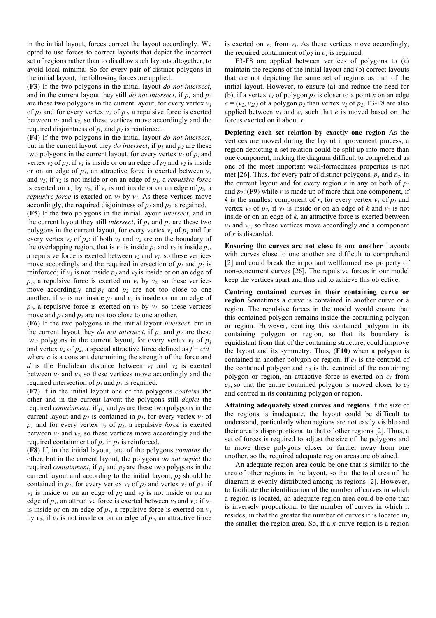in the initial layout, forces correct the layout accordingly. We opted to use forces to correct layouts that depict the incorrect set of regions rather than to disallow such layouts altogether, to avoid local minima. So for every pair of distinct polygons in the initial layout, the following forces are applied.

(**F3**) If the two polygons in the initial layout *do not intersect*, and in the current layout they still *do not intersect*, if  $p_1$  and  $p_2$ are these two polygons in the current layout, for every vertex  $v<sub>l</sub>$ of  $p_1$  and for every vertex  $v_2$  of  $p_2$ , a repulsive force is exerted between  $v_1$  and  $v_2$ , so these vertices move accordingly and the required disjointness of  $p_1$  and  $p_2$  is reinforced.

(**F4**) If the two polygons in the initial layout *do not intersect*, but in the current layout they *do intersect*, if  $p_1$  and  $p_2$  are these two polygons in the current layout, for every vertex  $v_l$  of  $p_l$  and vertex  $v_2$  of  $p_2$ : if  $v_1$  is inside or on an edge of  $p_2$  and  $v_2$  is inside or on an edge of  $p_l$ , an attractive force is exerted between  $v_l$ and  $v_2$ ; if  $v_2$  is not inside or on an edge of  $p_1$ *, a repulsive force* is exerted on  $v_1$  by  $v_2$ ; if  $v_1$  is not inside or on an edge of  $p_2$ , a *repulsive force* is exerted on  $v_2$  by  $v_1$ . As these vertices move accordingly, the required disjointness of  $p_l$  and  $p_2$  is regained.

(**F5**) If the two polygons in the initial layout *intersect*, and in the current layout they still *intersect*, if  $p_1$  and  $p_2$  are these two polygons in the current layout, for every vertex  $v_i$  of  $p_i$  and for every vertex  $v_2$  of  $p_2$ : if both  $v_1$  and  $v_2$  are on the boundary of the overlapping region, that is  $v<sub>l</sub>$  is inside  $p<sub>2</sub>$  and  $v<sub>2</sub>$  is inside  $p<sub>l</sub>$ , a repulsive force is exerted between  $v_2$  and  $v_1$ , so these vertices move accordingly and the required intersection of  $p_1$  and  $p_2$  is reinforced; if  $v_1$  is not inside  $p_2$  and  $v_2$  is inside or on an edge of  $p_1$ , a repulsive force is exerted on  $v_1$  by  $v_2$ , so these vertices move accordingly and  $p_1$  and  $p_2$  are not too close to one another; if  $v_2$  is not inside  $p_1$  and  $v_1$  is inside or on an edge of  $p_2$ , a repulsive force is exerted on  $v_2$  by  $v_1$ , so these vertices move and  $p_1$  and  $p_2$  are not too close to one another.

(**F6**) If the two polygons in the initial layout *intersect,* but in the current layout they *do not intersect*, if  $p_1$  and  $p_2$  are these two polygons in the current layout, for every vertex  $v_l$  of  $p_l$ and vertex  $v_2$  of  $p_2$ , a special attractive force defined as  $f = c/d^2$ where  $c$  is a constant determining the strength of the force and *d* is the Euclidean distance between  $v_1$  and  $v_2$  is exerted between  $v_1$  and  $v_2$ , so these vertices move accordingly and the required intersection of  $p_1$  and  $p_2$  is regained.

(**F7**) If in the initial layout one of the polygons *contains* the other and in the current layout the polygons still *depict* the required *containment*: if  $p_1$  and  $p_2$  are these two polygons in the current layout and  $p_2$  is contained in  $p_1$ , for every vertex  $v_1$  of  $p_1$  and for every vertex  $v_2$  of  $p_2$ , a repulsive *force* is exerted between  $v_1$  and  $v_2$ , so these vertices move accordingly and the required containment of  $p_2$  in  $p_1$  is reinforced.

(**F8**) If, in the initial layout, one of the polygons *contains* the other, but in the current layout, the polygons *do not depict* the required *containment*, if  $p_l$  and  $p_2$  are these two polygons in the current layout and according to the initial layout, *p<sup>2</sup>* should be contained in  $p_1$ , for every vertex  $v_1$  of  $p_1$  and vertex  $v_2$  of  $p_2$ : if  $v_1$  is inside or on an edge of  $p_2$  and  $v_2$  is not inside or on an edge of  $p_1$ , an attractive force is exerted between  $v_2$  and  $v_1$ ; if  $v_2$ is inside or on an edge of  $p_l$ , a repulsive force is exerted on  $v_l$ by  $v_2$ ; if  $v_1$  is not inside or on an edge of  $p_2$ , an attractive force

is exerted on  $v_2$  from  $v_1$ . As these vertices move accordingly, the required containment of  $p_2$  in  $p_1$  is regained.

F3-F8 are applied between vertices of polygons to (a) maintain the regions of the initial layout and (b) correct layouts that are not depicting the same set of regions as that of the initial layout. However, to ensure (a) and reduce the need for (b), if a vertex  $v_1$  of polygon  $p_1$  is closer to a point x on an edge  $e = (v_2, v_{2b})$  of a polygon  $p_2$  than vertex  $v_2$  of  $p_2$ , F3-F8 are also applied between  $v_l$  and  $e$ , such that  $e$  is moved based on the forces exerted on it about *x*.

**Depicting each set relation by exactly one region** As the vertices are moved during the layout improvement process, a region depicting a set relation could be split up into more than one component, making the diagram difficult to comprehend as one of the most important well-formedness properties is not met [26]. Thus, for every pair of distinct polygons,  $p_l$  and  $p_2$ , in the current layout and for every region *r* in any or both of  $p_l$ and  $p_2$ : (F9) while *r* is made up of more than one component, if *k* is the smallest component of *r*, for every vertex  $v<sub>l</sub>$  of  $p<sub>l</sub>$  and vertex  $v_2$  of  $p_2$ , if  $v_1$  is inside or on an edge of k and  $v_2$  is not inside or on an edge of *k*, an attractive force is exerted between  $v_1$  and  $v_2$ , so these vertices move accordingly and a component of *r* is discarded.

**Ensuring the curves are not close to one another** Layouts with curves close to one another are difficult to comprehend [2] and could break the important wellformedness property of non-concurrent curves [26]. The repulsive forces in our model keep the vertices apart and thus aid to achieve this objective.

**Centring contained curves in their containing curve or region** Sometimes a curve is contained in another curve or a region. The repulsive forces in the model would ensure that this contained polygon remains inside the containing polygon or region. However, centring this contained polygon in its containing polygon or region, so that its boundary is equidistant from that of the containing structure, could improve the layout and its symmetry. Thus, (**F10**) when a polygon is contained in another polygon or region, if *c<sup>1</sup>* is the centroid of the contained polygon and  $c_2$  is the centroid of the containing polygon or region, an attractive force is exerted on  $c<sub>1</sub>$  from  $c_2$ , so that the entire contained polygon is moved closer to  $c_2$ and centred in its containing polygon or region.

**Attaining adequately sized curves and regions** If the size of the regions is inadequate, the layout could be difficult to understand, particularly when regions are not easily visible and their area is disproportional to that of other regions [2]. Thus, a set of forces is required to adjust the size of the polygons and to move these polygons closer or further away from one another, so the required adequate region areas are obtained.

An adequate region area could be one that is similar to the area of other regions in the layout, so that the total area of the diagram is evenly distributed among its regions [2]. However, to facilitate the identification of the number of curves in which a region is located, an adequate region area could be one that is inversely proportional to the number of curves in which it resides, in that the greater the number of curves it is located in, the smaller the region area. So, if a *k*-curve region is a region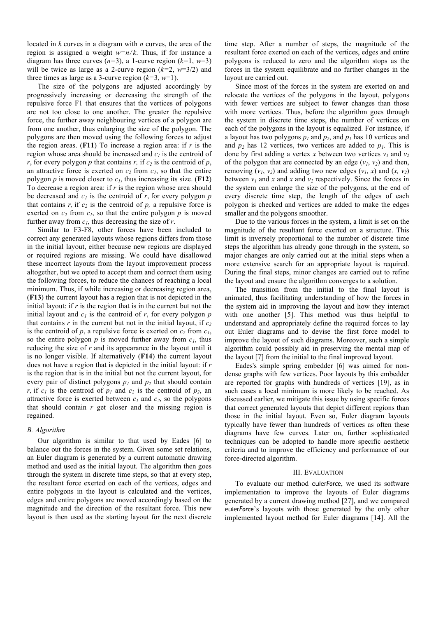located in *k* curves in a diagram with *n* curves, the area of the region is assigned a weight  $w=n/k$ . Thus, if for instance a diagram has three curves  $(n=3)$ , a 1-curve region  $(k=1, w=3)$ will be twice as large as a 2-curve region (*k=*2, *w*=3/2) and three times as large as a 3-curve region  $(k=3, w=1)$ .

The size of the polygons are adjusted accordingly by progressively increasing or decreasing the strength of the repulsive force F1 that ensures that the vertices of polygons are not too close to one another. The greater the repulsive force, the further away neighbouring vertices of a polygon are from one another, thus enlarging the size of the polygon. The polygons are then moved using the following forces to adjust the region areas. (**F11**) To increase a region area: if *r* is the region whose area should be increased and *c<sup>1</sup>* is the centroid of *r*, for every polygon *p* that contains *r*, if  $c_2$  is the centroid of *p*, an attractive force is exerted on  $c_2$  from  $c_1$ , so that the entire polygon  $p$  is moved closer to  $c<sub>1</sub>$ , thus increasing its size. (**F12**) To decrease a region area: if *r* is the region whose area should be decreased and  $c<sub>l</sub>$  is the centroid of  $r$ , for every polygon  $p$ that contains  $r$ , if  $c_2$  is the centroid of  $p$ , a repulsive force is exerted on  $c_2$  from  $c_1$ , so that the entire polygon  $p$  is moved further away from *c1*, thus decreasing the size of *r*.

Similar to F3-F8, other forces have been included to correct any generated layouts whose regions differs from those in the initial layout, either because new regions are displayed or required regions are missing. We could have disallowed these incorrect layouts from the layout improvement process altogether, but we opted to accept them and correct them using the following forces, to reduce the chances of reaching a local minimum. Thus, if while increasing or decreasing region area, (**F13**) the current layout has a region that is not depicted in the initial layout: if *r* is the region that is in the current but not the initial layout and  $c<sub>l</sub>$  is the centroid of  $r$ , for every polygon  $p$ that contains  $r$  in the current but not in the initial layout, if  $c_2$ is the centroid of *p*, a repulsive force is exerted on  $c_2$  from  $c_1$ , so the entire polygon  $p$  is moved further away from  $c_1$ , thus reducing the size of *r* and its appearance in the layout until it is no longer visible. If alternatively (**F14**) the current layout does not have a region that is depicted in the initial layout: if *r* is the region that is in the initial but not the current layout, for every pair of distinct polygons  $p_1$  and  $p_2$  that should contain *r*, if  $c_1$  is the centroid of  $p_1$  and  $c_2$  is the centroid of  $p_2$ , an attractive force is exerted between  $c_1$  and  $c_2$ , so the polygons that should contain *r* get closer and the missing region is regained.

#### *B. Algorithm*

Our algorithm is similar to that used by Eades [6] to balance out the forces in the system. Given some set relations, an Euler diagram is generated by a current automatic drawing method and used as the initial layout. The algorithm then goes through the system in discrete time steps, so that at every step, the resultant force exerted on each of the vertices, edges and entire polygons in the layout is calculated and the vertices, edges and entire polygons are moved accordingly based on the magnitude and the direction of the resultant force. This new layout is then used as the starting layout for the next discrete

time step. After a number of steps, the magnitude of the resultant force exerted on each of the vertices, edges and entire polygons is reduced to zero and the algorithm stops as the forces in the system equilibrate and no further changes in the layout are carried out.

Since most of the forces in the system are exerted on and relocate the vertices of the polygons in the layout, polygons with fewer vertices are subject to fewer changes than those with more vertices. Thus, before the algorithm goes through the system in discrete time steps, the number of vertices on each of the polygons in the layout is equalized. For instance, if a layout has two polygons  $p_l$  and  $p_2$ , and  $p_l$  has 10 vertices and and  $p_2$  has 12 vertices, two vertices are added to  $p_1$ . This is done by first adding a vertex *x* between two vertices  $v_1$  and  $v_2$ of the polygon that are connected by an edge  $(v_1, v_2)$  and then, removing  $(v_1, v_2)$  and adding two new edges  $(v_1, x)$  and  $(x, v_2)$ between  $v_1$  and x and x and  $v_2$  respectively. Since the forces in the system can enlarge the size of the polygons, at the end of every discrete time step, the length of the edges of each polygon is checked and vertices are added to make the edges smaller and the polygons smoother.

Due to the various forces in the system, a limit is set on the magnitude of the resultant force exerted on a structure. This limit is inversely proportional to the number of discrete time steps the algorithm has already gone through in the system, so major changes are only carried out at the initial steps when a more extensive search for an appropriate layout is required. During the final steps, minor changes are carried out to refine the layout and ensure the algorithm converges to a solution.

The transition from the initial to the final layout is animated, thus facilitating understanding of how the forces in the system aid in improving the layout and how they interact with one another [5]. This method was thus helpful to understand and appropriately define the required forces to lay out Euler diagrams and to devise the first force model to improve the layout of such diagrams. Moreover, such a simple algorithm could possibly aid in preserving the mental map of the layout [7] from the initial to the final improved layout.

Eades's simple spring embedder [6] was aimed for nondense graphs with few vertices. Poor layouts by this embedder are reported for graphs with hundreds of vertices [19], as in such cases a local minimum is more likely to be reached. As discussed earlier, we mitigate this issue by using specific forces that correct generated layouts that depict different regions than those in the initial layout. Even so, Euler diagram layouts typically have fewer than hundreds of vertices as often these diagrams have few curves. Later on, further sophisticated techniques can be adopted to handle more specific aesthetic criteria and to improve the efficiency and performance of our force-directed algorithm.

#### III. EVALUATION

To evaluate our method euler*Force*, we used its software implementation to improve the layouts of Euler diagrams generated by a current drawing method [27], and we compared euler*Force*'s layouts with those generated by the only other implemented layout method for Euler diagrams [14]. All the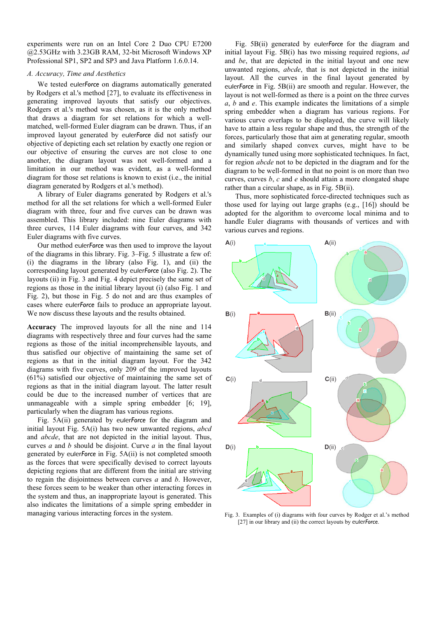experiments were run on an Intel Core 2 Duo CPU E7200 @2.53GHz with 3.23GB RAM, 32-bit Microsoft Windows XP Professional SP1, SP2 and SP3 and Java Platform 1.6.0.14.

#### *A. Accuracy, Time and Aesthetics*

We tested euler*Force* on diagrams automatically generated by Rodgers et al.'s method [27], to evaluate its effectiveness in generating improved layouts that satisfy our objectives. Rodgers et al.'s method was chosen, as it is the only method that draws a diagram for set relations for which a wellmatched, well-formed Euler diagram can be drawn. Thus, if an improved layout generated by euler*Force* did not satisfy our objective of depicting each set relation by exactly one region or our objective of ensuring the curves are not close to one another, the diagram layout was not well-formed and a limitation in our method was evident, as a well-formed diagram for those set relations is known to exist (i.e., the initial diagram generated by Rodgers et al.'s method).

A library of Euler diagrams generated by Rodgers et al.'s method for all the set relations for which a well-formed Euler diagram with three, four and five curves can be drawn was assembled. This library included: nine Euler diagrams with three curves, 114 Euler diagrams with four curves, and 342 Euler diagrams with five curves.

Our method euler*Force* was then used to improve the layout of the diagrams in this library. Fig. 3–Fig. 5 illustrate a few of: (i) the diagrams in the library (also Fig. 1), and (ii) the corresponding layout generated by euler*Force* (also Fig. 2). The layouts (ii) in Fig. 3 and Fig. 4 depict precisely the same set of regions as those in the initial library layout (i) (also Fig. 1 and Fig. 2), but those in Fig. 5 do not and are thus examples of cases where euler*Force* fails to produce an appropriate layout. We now discuss these layouts and the results obtained.

**Accuracy** The improved layouts for all the nine and 114 diagrams with respectively three and four curves had the same regions as those of the initial incomprehensible layouts, and thus satisfied our objective of maintaining the same set of regions as that in the initial diagram layout. For the 342 diagrams with five curves, only 209 of the improved layouts (61%) satisfied our objective of maintaining the same set of regions as that in the initial diagram layout. The latter result could be due to the increased number of vertices that are unmanageable with a simple spring embedder [6; 19], particularly when the diagram has various regions.

Fig. 5A(ii) generated by euler*Force* for the diagram and initial layout Fig. 5A(i) has two new unwanted regions, *abcd*  and *abcde*, that are not depicted in the initial layout. Thus, curves *a* and *b* should be disjoint. Curve *a* in the final layout generated by euler*Force* in Fig. 5A(ii) is not completed smooth as the forces that were specifically devised to correct layouts depicting regions that are different from the initial are striving to regain the disjointness between curves *a* and *b*. However, these forces seem to be weaker than other interacting forces in the system and thus, an inappropriate layout is generated. This also indicates the limitations of a simple spring embedder in managing various interacting forces in the system.

Fig. 5B(ii) generated by euler*Force* for the diagram and initial layout Fig. 5B(i) has two missing required regions, *ad*  and *be*, that are depicted in the initial layout and one new unwanted regions, *abcde*, that is not depicted in the initial layout. All the curves in the final layout generated by euler*Force* in Fig. 5B(ii) are smooth and regular. However, the layout is not well-formed as there is a point on the three curves *a*, *b* and *e*. This example indicates the limitations of a simple spring embedder when a diagram has various regions. For various curve overlaps to be displayed, the curve will likely have to attain a less regular shape and thus, the strength of the forces, particularly those that aim at generating regular, smooth and similarly shaped convex curves, might have to be dynamically tuned using more sophisticated techniques. In fact, for region *abcde* not to be depicted in the diagram and for the diagram to be well-formed in that no point is on more than two curves, curves *b*, *c* and *e* should attain a more elongated shape rather than a circular shape, as in Fig. 5B(ii).

Thus, more sophisticated force-directed techniques such as those used for laying out large graphs (e.g., [16]) should be adopted for the algorithm to overcome local minima and to handle Euler diagrams with thousands of vertices and with various curves and regions.



Fig. 3. Examples of (i) diagrams with four curves by Rodger et al.'s method [27] in our library and (ii) the correct layouts by euler*Force*.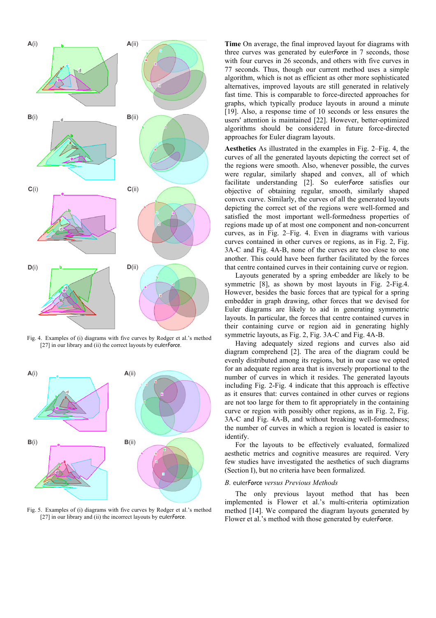

Fig. 4. Examples of (i) diagrams with five curves by Rodger et al.'s method [27] in our library and (ii) the correct layouts by euler*Force*.



Fig. 5. Examples of (i) diagrams with five curves by Rodger et al.'s method [27] in our library and (ii) the incorrect layouts by euler*Force*.

**Time** On average, the final improved layout for diagrams with three curves was generated by euler*Force* in 7 seconds, those with four curves in 26 seconds, and others with five curves in 77 seconds. Thus, though our current method uses a simple algorithm, which is not as efficient as other more sophisticated alternatives, improved layouts are still generated in relatively fast time. This is comparable to force-directed approaches for graphs, which typically produce layouts in around a minute [19]. Also, a response time of 10 seconds or less ensures the users' attention is maintained [22]. However, better-optimized algorithms should be considered in future force-directed approaches for Euler diagram layouts.

**Aesthetics** As illustrated in the examples in Fig. 2–Fig. 4, the curves of all the generated layouts depicting the correct set of the regions were smooth. Also, whenever possible, the curves were regular, similarly shaped and convex, all of which facilitate understanding [2]. So euler*Force* satisfies our objective of obtaining regular, smooth, similarly shaped convex curve. Similarly, the curves of all the generated layouts depicting the correct set of the regions were well-formed and satisfied the most important well-formedness properties of regions made up of at most one component and non-concurrent curves, as in Fig. 2–Fig. 4. Even in diagrams with various curves contained in other curves or regions, as in Fig. 2, Fig. 3A-C and Fig. 4A-B, none of the curves are too close to one another. This could have been further facilitated by the forces that centre contained curves in their containing curve or region.

Layouts generated by a spring embedder are likely to be symmetric [8], as shown by most layouts in Fig. 2-Fig.4. However, besides the basic forces that are typical for a spring embedder in graph drawing, other forces that we devised for Euler diagrams are likely to aid in generating symmetric layouts. In particular, the forces that centre contained curves in their containing curve or region aid in generating highly symmetric layouts, as Fig. 2, Fig. 3A-C and Fig. 4A-B.

Having adequately sized regions and curves also aid diagram comprehend [2]. The area of the diagram could be evenly distributed among its regions, but in our case we opted for an adequate region area that is inversely proportional to the number of curves in which it resides. The generated layouts including Fig. 2-Fig. 4 indicate that this approach is effective as it ensures that: curves contained in other curves or regions are not too large for them to fit appropriately in the containing curve or region with possibly other regions, as in Fig. 2, Fig. 3A-C and Fig. 4A-B, and without breaking well-formedness; the number of curves in which a region is located is easier to identify.

For the layouts to be effectively evaluated, formalized aesthetic metrics and cognitive measures are required. Very few studies have investigated the aesthetics of such diagrams (Section I), but no criteria have been formalized.

#### *B.* euler*Force versus Previous Methods*

The only previous layout method that has been implemented is Flower et al.'s multi-criteria optimization method [14]. We compared the diagram layouts generated by Flower et al.'s method with those generated by euler*Force*.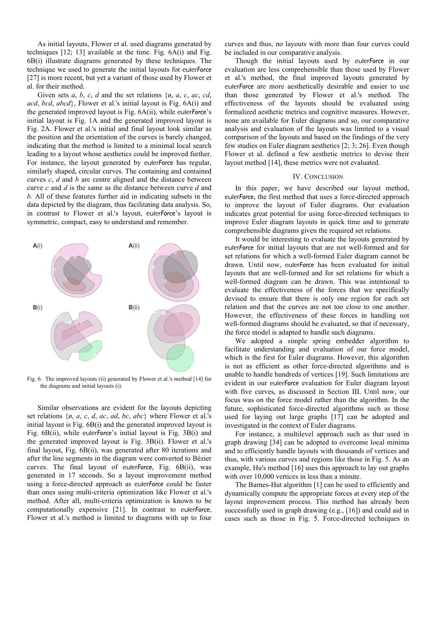As initial layouts, Flower et al. used diagrams generated by techniques [12; 13] available at the time. Fig. 6A(i) and Fig. 6B(i) illustrate diagrams generated by these techniques. The technique we used to generate the initial layouts for euler*Force* [27] is more recent, but yet a variant of those used by Flower et al. for their method.

Given sets *a*, *b*, *c*, *d* and the set relations { $\emptyset$ , *a*, *c*, *ac*, *cd*, *acd*, *bcd*, *abcd*}, Flower et al.'s initial layout is Fig. 6A(i) and the generated improved layout is Fig. 6A(ii), while euler*Force*'s initial layout is Fig. 1A and the generated improved layout is Fig. 2A. Flower et al.'s initial and final layout look similar as the position and the orientation of the curves is barely changed, indicating that the method is limited to a minimal local search leading to a layout whose aesthetics could be improved further. For instance, the layout generated by euler*Force* has regular, similarly shaped, circular curves. The containing and contained curves *c*, *d* and *b* are centre aligned and the distance between curve *c* and *d* is the same as the distance between curve *d* and *b*. All of these features further aid in indicating subsets in the data depicted by the diagram, thus facilitating data analysis. So, in contrast to Flower et al.'s layout, euler*Force*'s layout is symmetric, compact, easy to understand and remember.



Fig. 6. The improved layouts (ii) generated by Flower et al.'s method [14] for the diagrams and initial layouts (i).

Similar observations are evident for the layouts depicting set relations {ø, *a*, *c*, *d*, *ac*, *ad*, *bc*, *abc*} where Flower et al.'s initial layout is Fig. 6B(i) and the generated improved layout is Fig. 6B(ii), while euler*Force*'s initial layout is Fig. 3B(i) and the generated improved layout is Fig. 3B(ii). Flower et al.'s final layout, Fig. 6B(ii), was generated after 80 iterations and after the line segments in the diagram were converted to Bézier curves. The final layout of euler*Force*, Fig. 6B(ii), was generated in 17 seconds. So a layout improvement method using a force-directed approach as euler*Force* could be faster than ones using multi-criteria optimization like Flower et al.'s method. After all, multi-criteria optimization is known to be computationally expensive [21]. In contrast to euler*Force*, Flower et al.'s method is limited to diagrams with up to four curves and thus, no layouts with more than four curves could be included in our comparative analysis.

Though the initial layouts used by euler*Force* in our evaluation are less comprehensible than those used by Flower et al.'s method, the final improved layouts generated by euler*Force* are more aesthetically desirable and easier to use than those generated by Flower et al.'s method. The effectiveness of the layouts should be evaluated using formalized aesthetic metrics and cognitive measures. However, none are available for Euler diagrams and so, our comparative analysis and evaluation of the layouts was limited to a visual comparison of the layouts and based on the findings of the very few studies on Euler diagram aesthetics [2; 3; 26]. Even though Flower et al. defined a few aesthetic metrics to devise their layout method [14], these metrics were not evaluated.

#### IV. CONCLUSION

In this paper, we have described our layout method, euler*Force*, the first method that uses a force-directed approach to improve the layout of Euler diagrams. Our evaluation indicates great potential for using force-directed techniques to improve Euler diagram layouts in quick time and to generate comprehensible diagrams given the required set relations.

It would be interesting to evaluate the layouts generated by euler*Force* for initial layouts that are not well-formed and for set relations for which a well-formed Euler diagram cannot be drawn. Until now, euler*Force* has been evaluated for initial layouts that are well-formed and for set relations for which a well-formed diagram can be drawn. This was intentional to evaluate the effectiveness of the forces that we specifically devised to ensure that there is only one region for each set relation and that the curves are not too close to one another. However, the effectiveness of these forces in handling not well-formed diagrams should be evaluated, so that if necessary, the force model is adapted to handle such diagrams.

We adopted a simple spring embedder algorithm to facilitate understanding and evaluation of our force model, which is the first for Euler diagrams. However, this algorithm is not as efficient as other force-directed algorithms and is unable to handle hundreds of vertices [19]. Such limitations are evident in our euler*Force* evaluation for Euler diagram layout with five curves, as discussed in Section III. Until now, our focus was on the force model rather than the algorithm. In the future, sophisticated force-directed algorithms such as those used for laying out large graphs [17] can be adopted and investigated in the context of Euler diagrams.

For instance, a multilevel approach such as that used in graph drawing [34] can be adopted to overcome local minima and to efficiently handle layouts with thousands of vertices and thus, with various curves and regions like those in Fig. 5. As an example, Hu's method [16] uses this approach to lay out graphs with over  $10,000$  vertices in less than a minute.

The Barnes-Hut algorithm [1] can be used to efficiently and dynamically compute the appropriate forces at every step of the layout improvement process. This method has already been successfully used in graph drawing (e.g., [16]) and could aid in cases such as those in Fig. 5. Force-directed techniques in